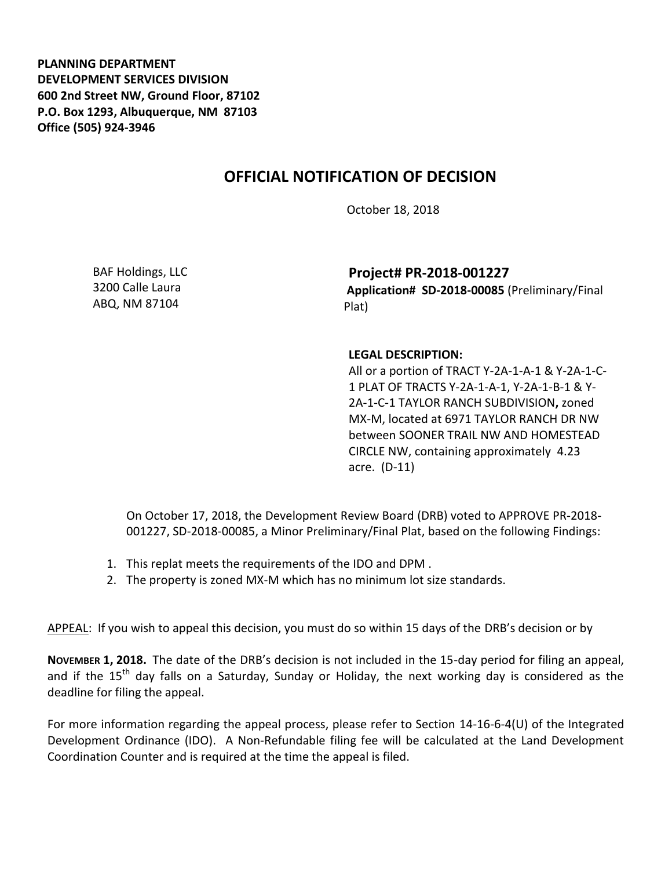**PLANNING DEPARTMENT DEVELOPMENT SERVICES DIVISION 600 2nd Street NW, Ground Floor, 87102 P.O. Box 1293, Albuquerque, NM 87103 Office (505) 924-3946** 

## **OFFICIAL NOTIFICATION OF DECISION**

October 18, 2018

BAF Holdings, LLC 3200 Calle Laura ABQ, NM 87104

**Project# PR-2018-001227 Application# SD-2018-00085** (Preliminary/Final Plat)

## **LEGAL DESCRIPTION:**

All or a portion of TRACT Y-2A-1-A-1 & Y-2A-1-C-1 PLAT OF TRACTS Y-2A-1-A-1, Y-2A-1-B-1 & Y-2A-1-C-1 TAYLOR RANCH SUBDIVISION**,** zoned MX-M, located at 6971 TAYLOR RANCH DR NW between SOONER TRAIL NW AND HOMESTEAD CIRCLE NW, containing approximately 4.23 acre. (D-11)

On October 17, 2018, the Development Review Board (DRB) voted to APPROVE PR-2018- 001227, SD-2018-00085, a Minor Preliminary/Final Plat, based on the following Findings:

- 1. This replat meets the requirements of the IDO and DPM .
- 2. The property is zoned MX-M which has no minimum lot size standards.

APPEAL: If you wish to appeal this decision, you must do so within 15 days of the DRB's decision or by

**NOVEMBER 1, 2018.** The date of the DRB's decision is not included in the 15-day period for filing an appeal, and if the  $15<sup>th</sup>$  day falls on a Saturday, Sunday or Holiday, the next working day is considered as the deadline for filing the appeal.

For more information regarding the appeal process, please refer to Section 14-16-6-4(U) of the Integrated Development Ordinance (IDO). A Non-Refundable filing fee will be calculated at the Land Development Coordination Counter and is required at the time the appeal is filed.